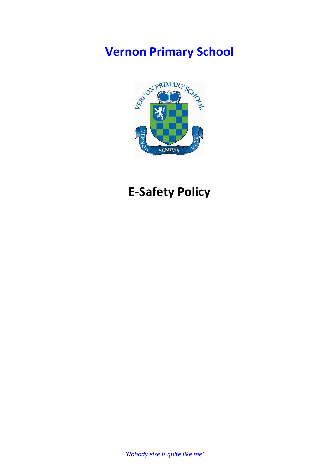# **Vernon Primary School**



# **E-Safety Policy**

*'Nobody else is quite like me'*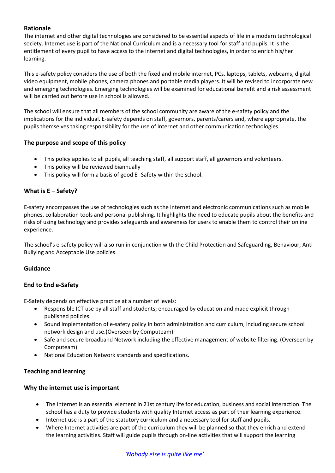# **Rationale**

The internet and other digital technologies are considered to be essential aspects of life in a modern technological society. Internet use is part of the National Curriculum and is a necessary tool for staff and pupils. It is the entitlement of every pupil to have access to the internet and digital technologies, in order to enrich his/her learning.

This e-safety policy considers the use of both the fixed and mobile internet, PCs, laptops, tablets, webcams, digital video equipment, mobile phones, camera phones and portable media players. It will be revised to incorporate new and emerging technologies. Emerging technologies will be examined for educational benefit and a risk assessment will be carried out before use in school is allowed.

The school will ensure that all members of the school community are aware of the e-safety policy and the implications for the individual. E-safety depends on staff, governors, parents/carers and, where appropriate, the pupils themselves taking responsibility for the use of Internet and other communication technologies.

## **The purpose and scope of this policy**

- This policy applies to all pupils, all teaching staff, all support staff, all governors and volunteers.
- This policy will be reviewed biannually
- This policy will form a basis of good E- Safety within the school.

# **What is E – Safety?**

E-safety encompasses the use of technologies such as the internet and electronic communications such as mobile phones, collaboration tools and personal publishing. It highlights the need to educate pupils about the benefits and risks of using technology and provides safeguards and awareness for users to enable them to control their online experience.

The school's e-safety policy will also run in conjunction with the Child Protection and Safeguarding, Behaviour, Anti-Bullying and Acceptable Use policies.

## **Guidance**

## **End to End e-Safety**

E-Safety depends on effective practice at a number of levels:

- Responsible ICT use by all staff and students; encouraged by education and made explicit through published policies.
- Sound implementation of e-safety policy in both administration and curriculum, including secure school network design and use.(Overseen by Computeam)
- Safe and secure broadband Network including the effective management of website filtering. (Overseen by Computeam)
- National Education Network standards and specifications.

## **Teaching and learning**

## **Why the internet use is important**

- The Internet is an essential element in 21st century life for education, business and social interaction. The school has a duty to provide students with quality Internet access as part of their learning experience.
- Internet use is a part of the statutory curriculum and a necessary tool for staff and pupils.
- Where Internet activities are part of the curriculum they will be planned so that they enrich and extend the learning activities. Staff will guide pupils through on-line activities that will support the learning

# *'Nobody else is quite like me'*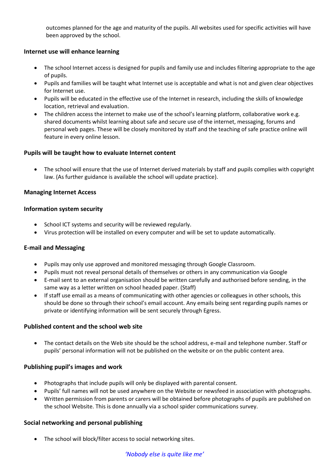outcomes planned for the age and maturity of the pupils. All websites used for specific activities will have been approved by the school.

## **Internet use will enhance learning**

- The school Internet access is designed for pupils and family use and includes filtering appropriate to the age of pupils.
- Pupils and families will be taught what Internet use is acceptable and what is not and given clear objectives for Internet use.
- Pupils will be educated in the effective use of the Internet in research, including the skills of knowledge location, retrieval and evaluation.
- The children access the internet to make use of the school's learning platform, collaborative work e.g. shared documents whilst learning about safe and secure use of the internet, messaging, forums and personal web pages. These will be closely monitored by staff and the teaching of safe practice online will feature in every online lesson.

## **Pupils will be taught how to evaluate Internet content**

 The school will ensure that the use of Internet derived materials by staff and pupils complies with copyright law. (As further guidance is available the school will update practice).

## **Managing Internet Access**

## **Information system security**

- School ICT systems and security will be reviewed regularly.
- Virus protection will be installed on every computer and will be set to update automatically.

## **E-mail and Messaging**

- Pupils may only use approved and monitored messaging through Google Classroom.
- Pupils must not reveal personal details of themselves or others in any communication via Google
- E-mail sent to an external organisation should be written carefully and authorised before sending, in the same way as a letter written on school headed paper. (Staff)
- If staff use email as a means of communicating with other agencies or colleagues in other schools, this should be done so through their school's email account. Any emails being sent regarding pupils names or private or identifying information will be sent securely through Egress.

## **Published content and the school web site**

 The contact details on the Web site should be the school address, e-mail and telephone number. Staff or pupils' personal information will not be published on the website or on the public content area.

#### **Publishing pupil's images and work**

- Photographs that include pupils will only be displayed with parental consent.
- Pupils' full names will not be used anywhere on the Website or newsfeed in association with photographs.
- Written permission from parents or carers will be obtained before photographs of pupils are published on the school Website. This is done annually via a school spider communications survey.

## **Social networking and personal publishing**

The school will block/filter access to social networking sites.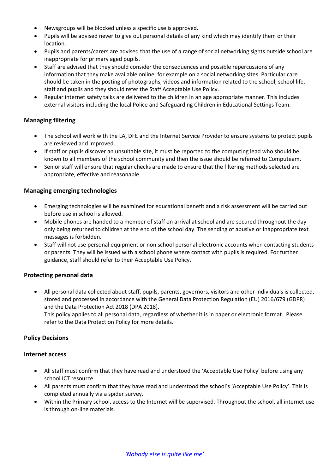- Newsgroups will be blocked unless a specific use is approved.
- Pupils will be advised never to give out personal details of any kind which may identify them or their location.
- Pupils and parents/carers are advised that the use of a range of social networking sights outside school are inappropriate for primary aged pupils.
- Staff are advised that they should consider the consequences and possible repercussions of any information that they make available online, for example on a social networking sites. Particular care should be taken in the posting of photographs, videos and information related to the school, school life, staff and pupils and they should refer the Staff Acceptable Use Policy.
- Regular internet safety talks are delivered to the children in an age appropriate manner. This includes external visitors including the local Police and Safeguarding Children in Educational Settings Team.

# **Managing filtering**

- The school will work with the LA, DFE and the Internet Service Provider to ensure systems to protect pupils are reviewed and improved.
- If staff or pupils discover an unsuitable site, it must be reported to the computing lead who should be known to all members of the school community and then the issue should be referred to Computeam.
- Senior staff will ensure that regular checks are made to ensure that the filtering methods selected are appropriate, effective and reasonable.

## **Managing emerging technologies**

- Emerging technologies will be examined for educational benefit and a risk assessment will be carried out before use in school is allowed.
- Mobile phones are handed to a member of staff on arrival at school and are secured throughout the day only being returned to children at the end of the school day. The sending of abusive or inappropriate text messages is forbidden.
- Staff will not use personal equipment or non school personal electronic accounts when contacting students or parents. They will be issued with a school phone where contact with pupils is required. For further guidance, staff should refer to their Acceptable Use Policy.

# **Protecting personal data**

 All personal data collected about staff, pupils, parents, governors, visitors and other individuals is collected, stored and processed in accordance with the [General Data Protection Regulation \(EU\) 2016/679 \(GDPR\)](https://eur-lex.europa.eu/legal-content/EN/TXT/?qid=1528874672298&uri=CELEX:02016R0679-20160504) and the [Data Protection Act 2018 \(DPA 2018\).](http://www.legislation.gov.uk/ukpga/2018/12/contents/enacted)

This policy applies to all personal data, regardless of whether it is in paper or electronic format. Please refer to the Data Protection Policy for more details.

## **Policy Decisions**

## **Internet access**

- All staff must confirm that they have read and understood the 'Acceptable Use Policy' before using any school ICT resource.
- All parents must confirm that they have read and understood the school's 'Acceptable Use Policy'. This is completed annually via a spider survey.
- Within the Primary school, access to the Internet will be supervised. Throughout the school, all internet use is through on-line materials.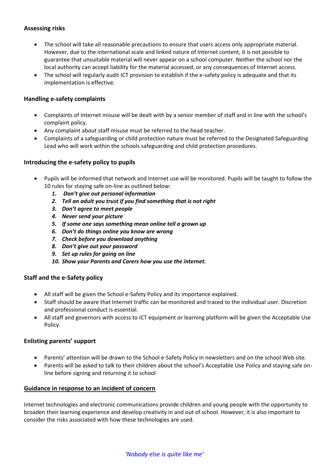# **Assessing risks**

- The school will take all reasonable precautions to ensure that users access only appropriate material. However, due to the international scale and linked nature of Internet content, it is not possible to guarantee that unsuitable material will never appear on a school computer. Neither the school nor the local authority can accept liability for the material accessed, or any consequences of Internet access.
- The school will regularly audit ICT provision to establish if the e-safety policy is adequate and that its implementation is effective.

## **Handling e-safety complaints**

- Complaints of Internet misuse will be dealt with by a senior member of staff and in line with the school's complaint policy.
- Any complaint about staff misuse must be referred to the head teacher.
- Complaints of a safeguarding or child protection nature must be referred to the Designated Safeguarding Lead who will work within the schools safeguarding and child protection procedures.

#### **Introducing the e-safety policy to pupils**

- Pupils will be informed that network and Internet use will be monitored. Pupils will be taught to follow the 10 rules for staying safe on-line as outlined below:
	- *1. Don't give out personal information*
	- *2. Tell an adult you trust if you find something that is not right*
	- *3. Don't agree to meet people*
	- *4. Never send your picture*
	- *5. If some one says something mean online tell a grown up*
	- *6. Don't do things online you know are wrong*
	- *7. Check before you download anything*
	- *8. Don't give out your password*
	- *9. Set up rules for going on line*
	- *10. Show your Parents and Carers how you use the internet.*

## **Staff and the e-Safety policy**

- All staff will be given the School e-Safety Policy and its importance explained.
- Staff should be aware that Internet traffic can be monitored and traced to the individual user. Discretion and professional conduct is essential.
- All staff and governors with access to ICT equipment or learning platform will be given the Acceptable Use Policy.

#### **Enlisting parents' support**

- Parents' attention will be drawn to the School e-Safety Policy in newsletters and on the school Web site.
- Parents will be asked to talk to their children about the school's Acceptable Use Policy and staying safe online before signing and returning it to school

#### **Guidance in response to an incident of concern**

Internet technologies and electronic communications provide children and young people with the opportunity to broaden their learning experience and develop creativity in and out of school. However, it is also important to consider the risks associated with how these technologies are used.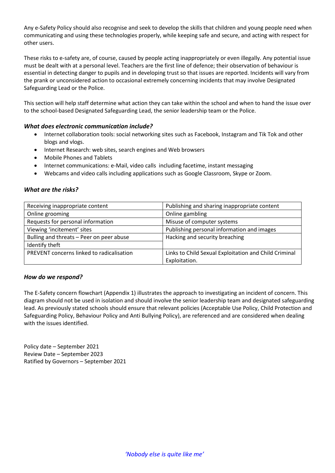Any e-Safety Policy should also recognise and seek to develop the skills that children and young people need when communicating and using these technologies properly, while keeping safe and secure, and acting with respect for other users.

These risks to e-safety are, of course, caused by people acting inappropriately or even illegally. Any potential issue must be dealt with at a personal level. Teachers are the first line of defence; their observation of behaviour is essential in detecting danger to pupils and in developing trust so that issues are reported. Incidents will vary from the prank or unconsidered action to occasional extremely concerning incidents that may involve Designated Safeguarding Lead or the Police.

This section will help staff determine what action they can take within the school and when to hand the issue over to the school-based Designated Safeguarding Lead, the senior leadership team or the Police.

## *What does electronic communication include?*

- Internet collaboration tools: social networking sites such as Facebook, Instagram and Tik Tok and other blogs and vlogs.
- Internet Research: web sites, search engines and Web browsers
- Mobile Phones and Tablets
- Internet communications: e-Mail, video calls including facetime, instant messaging
- Webcams and video calls including applications such as Google Classroom, Skype or Zoom.

#### *What are the risks?*

| Receiving inappropriate content           | Publishing and sharing inappropriate content          |
|-------------------------------------------|-------------------------------------------------------|
| Online grooming                           | Online gambling                                       |
| Requests for personal information         | Misuse of computer systems                            |
| Viewing 'incitement' sites                | Publishing personal information and images            |
| Bulling and threats - Peer on peer abuse  | Hacking and security breaching                        |
| Identify theft                            |                                                       |
| PREVENT concerns linked to radicalisation | Links to Child Sexual Exploitation and Child Criminal |
|                                           | Exploitation.                                         |

#### *How do we respond?*

The E-Safety concern flowchart (Appendix 1) illustrates the approach to investigating an incident of concern. This diagram should not be used in isolation and should involve the senior leadership team and designated safeguarding lead. As previously stated schools should ensure that relevant policies (Acceptable Use Policy, Child Protection and Safeguarding Policy, Behaviour Policy and Anti Bullying Policy), are referenced and are considered when dealing with the issues identified.

Policy date – September 2021 Review Date – September 2023 Ratified by Governors – September 2021